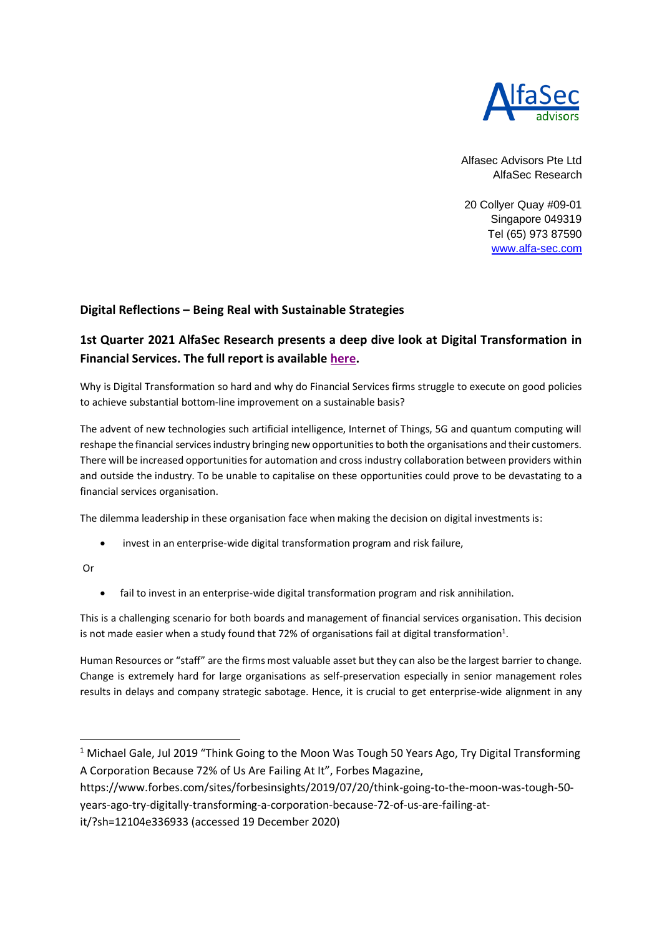

Alfasec Advisors Pte Ltd AlfaSec Research

20 Collyer Quay #09-01 Singapore 049319 Tel (65) 973 87590 [www.alfa-sec.com](http://www.alfa-sec.com/)

## **Digital Reflections – Being Real with Sustainable Strategies**

## **1st Quarter 2021 AlfaSec Research presents a deep dive look at Digital Transformation in Financial Services. The full report is available [here.](https://www.alfa-sec.com/digital-transformation)**

Why is Digital Transformation so hard and why do Financial Services firms struggle to execute on good policies to achieve substantial bottom-line improvement on a sustainable basis?

The advent of new technologies such artificial intelligence, Internet of Things, 5G and quantum computing will reshape the financial services industry bringing new opportunities to both the organisations and their customers. There will be increased opportunities for automation and cross industry collaboration between providers within and outside the industry. To be unable to capitalise on these opportunities could prove to be devastating to a financial services organisation.

The dilemma leadership in these organisation face when making the decision on digital investments is:

• invest in an enterprise-wide digital transformation program and risk failure,

Or

• fail to invest in an enterprise-wide digital transformation program and risk annihilation.

This is a challenging scenario for both boards and management of financial services organisation. This decision is not made easier when a study found that 72% of organisations fail at digital transformation<sup>1</sup>.

Human Resources or "staff" are the firms most valuable asset but they can also be the largest barrier to change. Change is extremely hard for large organisations as self-preservation especially in senior management roles results in delays and company strategic sabotage. Hence, it is crucial to get enterprise-wide alignment in any

https://www.forbes.com/sites/forbesinsights/2019/07/20/think-going-to-the-moon-was-tough-50 years-ago-try-digitally-transforming-a-corporation-because-72-of-us-are-failing-at-

it/?sh=12104e336933 (accessed 19 December 2020)

<sup>&</sup>lt;sup>1</sup> Michael Gale, Jul 2019 "Think Going to the Moon Was Tough 50 Years Ago, Try Digital Transforming A Corporation Because 72% of Us Are Failing At It", Forbes Magazine,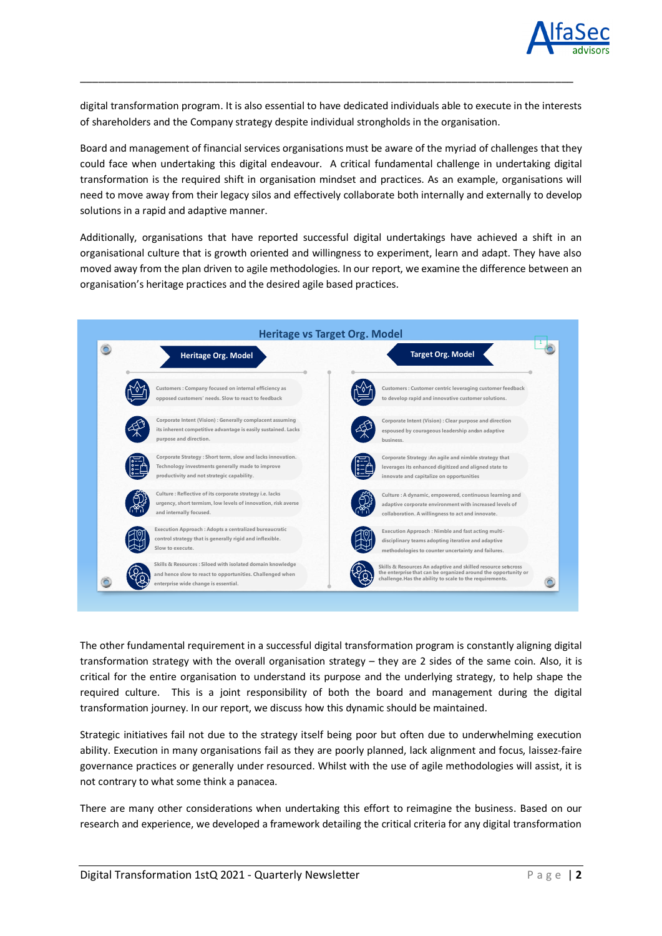

digital transformation program. It is also essential to have dedicated individuals able to execute in the interests of shareholders and the Company strategy despite individual strongholds in the organisation.

\_\_\_\_\_\_\_\_\_\_\_\_\_\_\_\_\_\_\_\_\_\_\_\_\_\_\_\_\_\_\_\_\_\_\_\_\_\_\_\_\_\_\_\_\_\_\_\_\_\_\_\_\_\_\_\_\_\_\_\_\_\_\_\_\_\_\_\_\_\_\_\_\_\_\_\_\_\_\_\_\_

Board and management of financial services organisations must be aware of the myriad of challenges that they could face when undertaking this digital endeavour. A critical fundamental challenge in undertaking digital transformation is the required shift in organisation mindset and practices. As an example, organisations will need to move away from their legacy silos and effectively collaborate both internally and externally to develop solutions in a rapid and adaptive manner.

Additionally, organisations that have reported successful digital undertakings have achieved a shift in an organisational culture that is growth oriented and willingness to experiment, learn and adapt. They have also moved away from the plan driven to agile methodologies. In our report, we examine the difference between an organisation's heritage practices and the desired agile based practices.



The other fundamental requirement in a successful digital transformation program is constantly aligning digital transformation strategy with the overall organisation strategy – they are 2 sides of the same coin. Also, it is critical for the entire organisation to understand its purpose and the underlying strategy, to help shape the required culture. This is a joint responsibility of both the board and management during the digital transformation journey. In our report, we discuss how this dynamic should be maintained.

Strategic initiatives fail not due to the strategy itself being poor but often due to underwhelming execution ability. Execution in many organisations fail as they are poorly planned, lack alignment and focus, laissez-faire governance practices or generally under resourced. Whilst with the use of agile methodologies will assist, it is not contrary to what some think a panacea.

There are many other considerations when undertaking this effort to reimagine the business. Based on our research and experience, we developed a framework detailing the critical criteria for any digital transformation